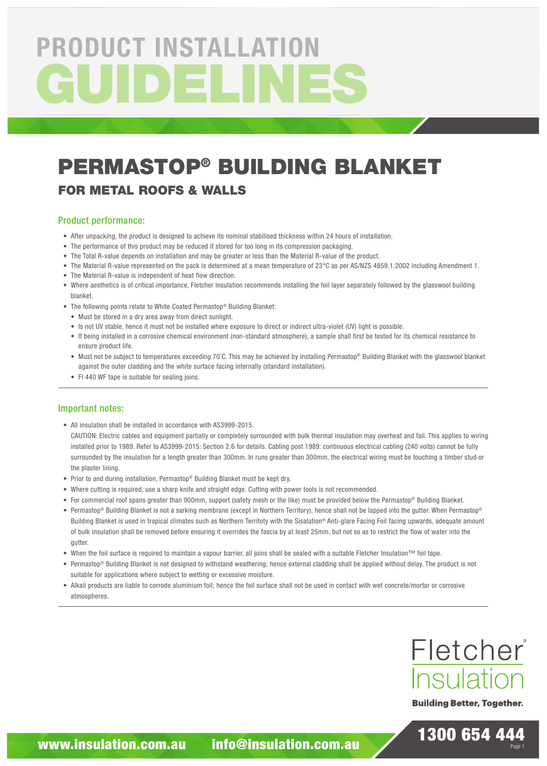# GUIDELIN PRODUCT INSTALLATION

# PERMASTOP® BUILDING BLANKET

## FOR METAL ROOFS & WALLS

#### Product performance:

- After unpacking, the product is designed to achieve its nominal stabilised thickness within 24 hours of installation.
- The performance of this product may be reduced if stored for too long in its compression packaging.
- The Total R-value depends on installation and may be greater or less than the Material R-value of the product.
- The Material R-value represented on the pack is determined at a mean temperature of 23°C as per AS/NZS 4859.1:2002 including Amendment 1.
- The Material R-value is independent of heat flow direction.
- Where aesthetics is of critical importance, Fletcher Insulation recommends installing the foil layer separately followed by the glasswool building blanket.
- The following points relate to White Coated Permastop® Building Blanket:
	- Must be stored in a dry area away from direct sunlight.
	- Is not UV stable, hence it must not be installed where exposure to direct or indirect ultra-violet (UV) light is possible.
	- If being installed in a corrosive chemical environment (non-standard atmosphere), a sample shall first be tested for its chemical resistance to ensure product life.
	- Must not be subject to temperatures exceeding 70°C. This may be achieved by installing Permastop® Building Blanket with the glasswool blanket against the outer cladding and the white surface facing internally (standard installation).
	- FI 440 WF tape is suitable for sealing joins.

#### Important notes:

• All insulation shall be installed in accordance with AS3999-2015.

CAUTION: Electric cables and equipment partially or completely surrounded with bulk thermal insulation may overheat and fail. This applies to wiring installed prior to 1989. Refer to AS3999-2015: Section 2.6 for details. Cabling post 1989: continuous electrical cabling (240 volts) cannot be fully surrounded by the insulation for a length greater than 300mm. In runs greater than 300mm, the electrical wiring must be touching a timber stud or the plaster lining.

- Prior to and during installation, Permastop® Building Blanket must be kept dry.
- Where cutting is required, use a sharp knife and straight edge. Cutting with power tools is not recommended.
- For commercial roof spans greater than 900mm, support (safety mesh or the like) must be provided below the Permastop® Building Blanket.
- Permastop® Building Blanket is not a sarking membrane (except in Northern Territory), hence shall not be lapped into the gutter. When Permastop® Building Blanket is used in tropical climates such as Northern Territoty with the Sisalation® Anti-glare Facing Foil facing upwards, adequate amount of bulk insulation shall be removed before ensuring it overrides the fascia by at least 25mm, but not so as to restrict the flow of water into the gutter.
- When the foil surface is required to maintain a vapour barrier, all joins shall be sealed with a suitable Fletcher Insulation™ foil tape.
- Permastop® Building Blanket is not designed to withstand weathering; hence external cladding shall be applied without delay. The product is not suitable for applications where subject to wetting or excessive moisture.
- Alkali products are liable to corrode aluminium foil; hence the foil surface shall not be used in contact with wet concrete/mortar or corrosive atmospheres.



**Building Better, Together.** 

1300 654 444

Page 1